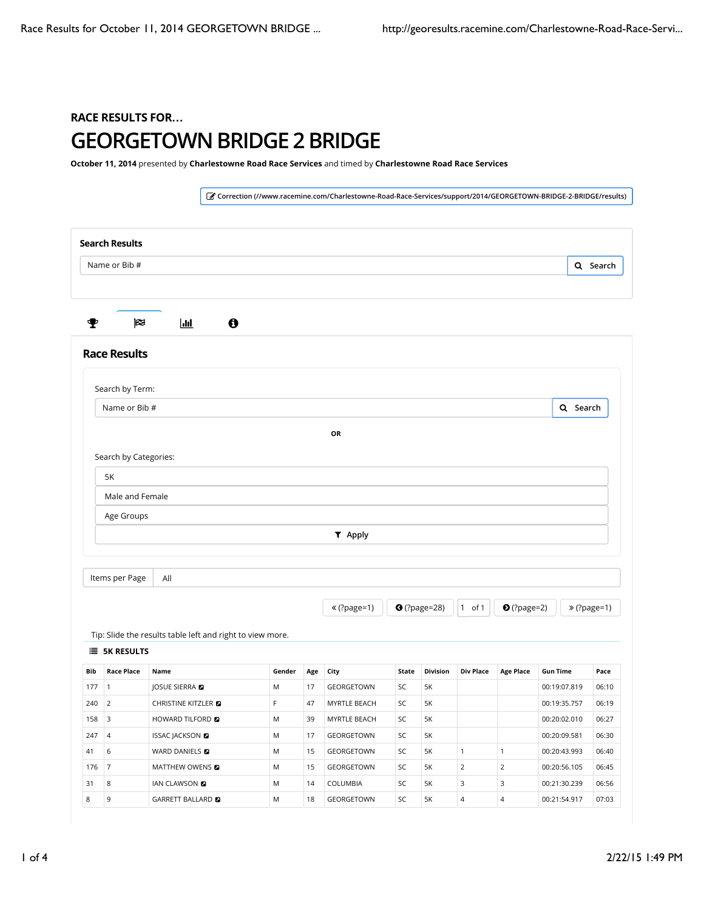## RACE RESULTS FOR**…** GEORGETOWN BRIDGE 2 BRIDGE

October 11, 2014 presented by Charlestowne Road Race Services and timed by Charlestowne Road Race Services

! Correction (//www.racemine.com/Charlestowne-Road-Race-Services/support/2014/GEORGETOWN-BRIDGE-2-BRIDGE/results) Search Results Q Search # \$ % & Race Results Tip: Slide the results table left and right to view more. **E** 5K RESULTS Bib Race Place Name Gender Age City State Division Div Place Age Place Gun Time Pace 177 | 1 | JOSUE SIERRA ( M | 17 | GEORGETOWN | SC | 5K | | | | | | | | | | | 00:19:07.819 | | 06:10 240 2 CHRISTINE KITZLER **D** F 47 MYRTLE BEACH SC 5K 00:19:35.757 06:19 158 3 HOWARD TILFORD **8** MYRTLE BEACH SC 5K 00:20:02.010 06:27 247 4 ISSAC JACKSON **D** M 17 GEORGETOWN SC 5K 00:20:09.581 06:30 41 6 WARD DANIELS **a** M 15 GEORGETOWN SC 5K 1 1 00:20:43.993 06:40 176 7 MATTHEW OWENS **D** M 15 GEORGETOWN SC 5K 2 2 00:20:56.105 06:45 31 8 | IAN CLAWSON **D** M | 14 | COLUMBIA | SC | 5K | 3 | 3 | 00:21:30.239 | 06:56 8 9 GARRETT BALLARD ( M 18 GEORGETOWN SC 5K 4 4 00:21:54.917 07:03 Search by Term: Q Search OR Search by Categories: 5K Male and Female Age Groups ) Apply Items per Page  $\mathcal{L}$  (?page=1)  $\mathcal{L}$  (?page=28)  $\mathcal{L}$  of 1  $\mathcal{L}$  (?page=2)  $\mathcal{L}$   $\mathcal{L}$  (?page=1) Name or Bib # Name or Bib # All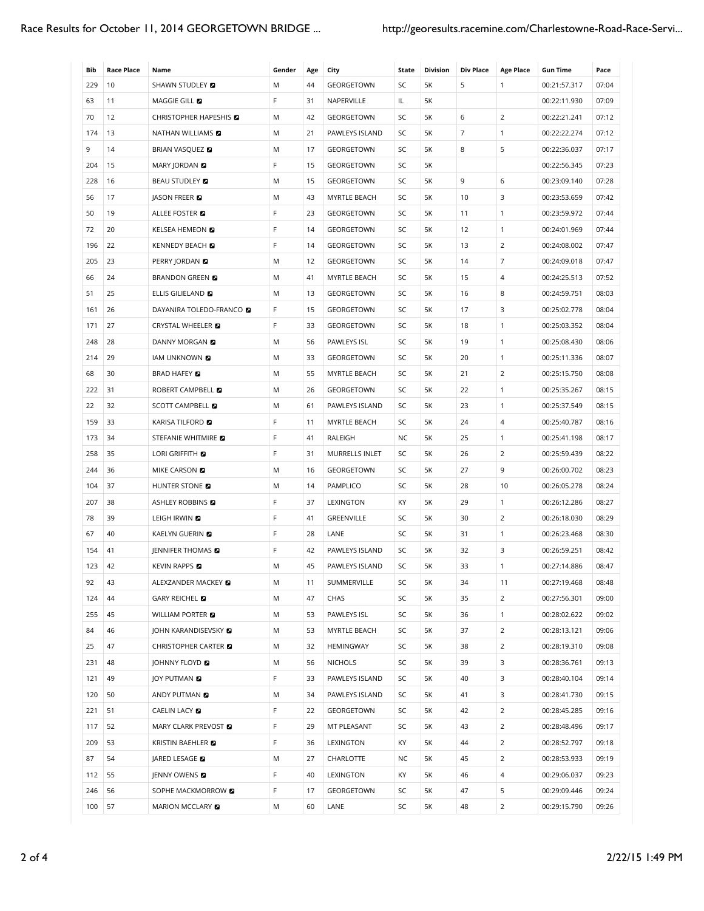| Bib | <b>Race Place</b> | Name                            | Gender | Age | City           | State | <b>Division</b> | <b>Div Place</b> | <b>Age Place</b> | <b>Gun Time</b> | Pace  |
|-----|-------------------|---------------------------------|--------|-----|----------------|-------|-----------------|------------------|------------------|-----------------|-------|
| 229 | 10                | SHAWN STUDLEY <b>D</b>          | M      | 44  | GEORGETOWN     | SC    | 5K              | 5                | 1                | 00:21:57.317    | 07:04 |
| 63  | 11                | MAGGIE GILL <b>D</b>            | F      | 31  | NAPERVILLE     | IL    | 5K              |                  |                  | 00:22:11.930    | 07:09 |
| 70  | 12                | CHRISTOPHER HAPESHIS            | M      | 42  | GEORGETOWN     | SC    | 5K              | 6                | 2                | 00:22:21.241    | 07:12 |
| 174 | 13                | <b>NATHAN WILLIAMS</b>          | M      | 21  | PAWLEYS ISLAND | SC    | 5K              | $\overline{7}$   | $\mathbf{1}$     | 00:22:22.274    | 07:12 |
| 9   | 14                | <b>BRIAN VASQUEZ &amp;</b>      | M      | 17  | GEORGETOWN     | SC    | 5K              | 8                | 5                | 00:22:36.037    | 07:17 |
| 204 | 15                | MARY JORDAN <b>D</b>            | F      | 15  | GEORGETOWN     | SC    | 5K              |                  |                  | 00:22:56.345    | 07:23 |
| 228 | 16                | <b>BEAU STUDLEY</b>             | M      | 15  | GEORGETOWN     | SC    | 5K              | 9                | 6                | 00:23:09.140    | 07:28 |
| 56  | 17                | <b>IASON FREER</b>              | M      | 43  | MYRTLE BEACH   | SC    | 5K              | 10               | 3                | 00:23:53.659    | 07:42 |
| 50  | 19                | ALLEE FOSTER <b>E</b>           | F      | 23  | GEORGETOWN     | SC    | 5K              | 11               | 1                | 00:23:59.972    | 07:44 |
| 72  | 20                | KELSEA HEMEON <b>D</b>          | F      | 14  | GEORGETOWN     | SC    | 5K              | 12               | $\mathbf{1}$     | 00:24:01.969    | 07:44 |
| 196 | 22                | <b>KENNEDY BEACH</b>            | F      | 14  | GEORGETOWN     | SC    | 5K              | 13               | $\overline{2}$   | 00:24:08.002    | 07:47 |
| 205 | 23                | PERRY JORDAN <b>D</b>           | M      | 12  | GEORGETOWN     | SC    | 5K              | 14               | 7                | 00:24:09.018    | 07:47 |
| 66  | 24                | <b>BRANDON GREEN E</b>          | M      | 41  | MYRTLE BEACH   | SC    | 5K              | 15               | 4                | 00:24:25.513    | 07:52 |
| 51  | 25                | ELLIS GILIELAND                 | M      | 13  | GEORGETOWN     | SC    | 5K              | 16               | 8                | 00:24:59.751    | 08:03 |
| 161 | 26                | DAYANIRA TOLEDO-FRANCO <b>D</b> | F      | 15  | GEORGETOWN     | SC    | 5K              | 17               | 3                | 00:25:02.778    | 08:04 |
| 171 | 27                | CRYSTAL WHEELER <b>D</b>        | F      | 33  | GEORGETOWN     | SC    | 5K              | 18               | $\mathbf{1}$     | 00:25:03.352    | 08:04 |
| 248 | 28                | DANNY MORGAN <b>D</b>           | M      | 56  | PAWLEYS ISL    | SC    | 5K              | 19               | $\mathbf{1}$     | 00:25:08.430    | 08:06 |
| 214 | 29                | IAM UNKNOWN <b>D</b>            | M      | 33  | GEORGETOWN     | SC    | 5K              | 20               | 1                | 00:25:11.336    | 08:07 |
| 68  | 30                | <b>BRAD HAFEY</b>               | M      | 55  | MYRTLE BEACH   | SC    | 5K              | 21               | $\overline{2}$   | 00:25:15.750    | 08:08 |
| 222 | 31                | ROBERT CAMPBELL <b>D</b>        | M      | 26  | GEORGETOWN     | SC    | 5K              | 22               | $\mathbf{1}$     | 00:25:35.267    | 08:15 |
| 22  | 32                | SCOTT CAMPBELL <b>D</b>         | M      | 61  | PAWLEYS ISLAND | SC    | 5K              | 23               | 1                | 00:25:37.549    | 08:15 |
| 159 | 33                | KARISA TILFORD <b>EI</b>        | F      | 11  | MYRTLE BEACH   | SC    | 5K              | 24               | 4                | 00:25:40.787    | 08:16 |
| 173 | 34                | STEFANIE WHITMIRE               | F      | 41  | RALEIGH        | NC.   | 5K              | 25               | $\mathbf{1}$     | 00:25:41.198    | 08:17 |
| 258 | 35                | LORI GRIFFITH <b>D</b>          | F      | 31  | MURRELLS INLET | SC    | 5K              | 26               | 2                | 00:25:59.439    | 08:22 |
| 244 | 36                | MIKE CARSON <b>D</b>            | M      | 16  | GEORGETOWN     | SC    | 5K              | 27               | 9                | 00:26:00.702    | 08:23 |
| 104 | 37                | HUNTER STONE <b>D</b>           | M      | 14  | PAMPLICO       | SC    | 5K              | 28               | 10               | 00:26:05.278    | 08:24 |
| 207 | 38                | ASHLEY ROBBINS <b>D</b>         | F      | 37  | LEXINGTON      | KY    | 5K              | 29               | 1                | 00:26:12.286    | 08:27 |
| 78  | 39                | LEIGH IRWIN D                   | F      | 41  | GREENVILLE     | SC    | 5K              | 30               | 2                | 00:26:18.030    | 08:29 |
| 67  | 40                | KAELYN GUERIN <b>D</b>          | F      | 28  | LANE           | SC    | 5K              | 31               | $\mathbf{1}$     | 00:26:23.468    | 08:30 |
| 154 | 41                | JENNIFER THOMAS <b>D</b>        | F      | 42  | PAWLEYS ISLAND | SC    | 5K              | 32               | 3                | 00:26:59.251    | 08:42 |
| 123 | 42                | <b>KEVIN RAPPS</b>              | M      | 45  | PAWLEYS ISLAND | SC    | 5K              | 33               | $\mathbf{1}$     | 00:27:14.886    | 08:47 |
| 92  | 43                | ALEXZANDER MACKEY <b>D</b>      | M      | 11  | SUMMERVILLE    | SC    | 5K              | 34               | 11               | 00:27:19.468    | 08:48 |
| 124 | 44                | GARY REICHEL <b>D</b>           | M      | 47  | CHAS           | SC    | 5K              | 35               | $\overline{2}$   | 00:27:56.301    | 09:00 |
| 255 | 45                | <b>WILLIAM PORTER E</b>         | M      | 53  | PAWLEYS ISL    | SC    | 5K              | 36               | $\mathbf{1}$     | 00:28:02.622    | 09:02 |
| 84  | 46                | <b>JOHN KARANDISEVSKY &amp;</b> | Μ      | 53  | MYRTLE BEACH   | SC    | 5K              | 37               | $\overline{2}$   | 00:28:13.121    | 09:06 |
| 25  | 47                | CHRISTOPHER CARTER <b>D</b>     | М      | 32  | HEMINGWAY      | SC    | 5K              | 38               | $\overline{2}$   | 00:28:19.310    | 09:08 |
| 231 | 48                | JOHNNY FLOYD <b>D</b>           | M      | 56  | <b>NICHOLS</b> | SC    | 5K              | 39               | 3                | 00:28:36.761    | 09:13 |
| 121 | 49                | JOY PUTMAN <b>D</b>             | F      | 33  | PAWLEYS ISLAND | SC    | 5K              | 40               | 3                | 00:28:40.104    | 09:14 |
| 120 | 50                | ANDY PUTMAN <b>D</b>            | M      | 34  | PAWLEYS ISLAND | SC    | 5K              | 41               | 3                | 00:28:41.730    | 09:15 |
| 221 | 51                | CAELIN LACY <b>D</b>            | F      | 22  | GEORGETOWN     | SC    | 5K              | 42               | $\overline{2}$   | 00:28:45.285    | 09:16 |
| 117 | 52                | MARY CLARK PREVOST <b>D</b>     | F      | 29  | MT PLEASANT    | SC    | 5K              | 43               | $\overline{2}$   | 00:28:48.496    | 09:17 |
| 209 | 53                | KRISTIN BAEHLER                 | F      | 36  | LEXINGTON      | KY    | 5K              | 44               | $\overline{2}$   | 00:28:52.797    | 09:18 |
| 87  | 54                | JARED LESAGE 2                  | Μ      | 27  | CHARLOTTE      | NC    | 5K              | 45               | $\overline{2}$   | 00:28:53.933    | 09:19 |
| 112 | 55                | JENNY OWENS <b>D</b>            | F      | 40  | LEXINGTON      | KY    | 5K              | 46               | 4                | 00:29:06.037    | 09:23 |
| 246 | 56                | SOPHE MACKMORROW <b>D</b>       | F      | 17  | GEORGETOWN     | SC    | 5K              | 47               | 5                | 00:29:09.446    | 09:24 |
| 100 | 57                | MARION MCCLARY <b>D</b>         | Μ      | 60  | LANE           | SC    | 5K              | 48               | $\overline{2}$   | 00:29:15.790    | 09:26 |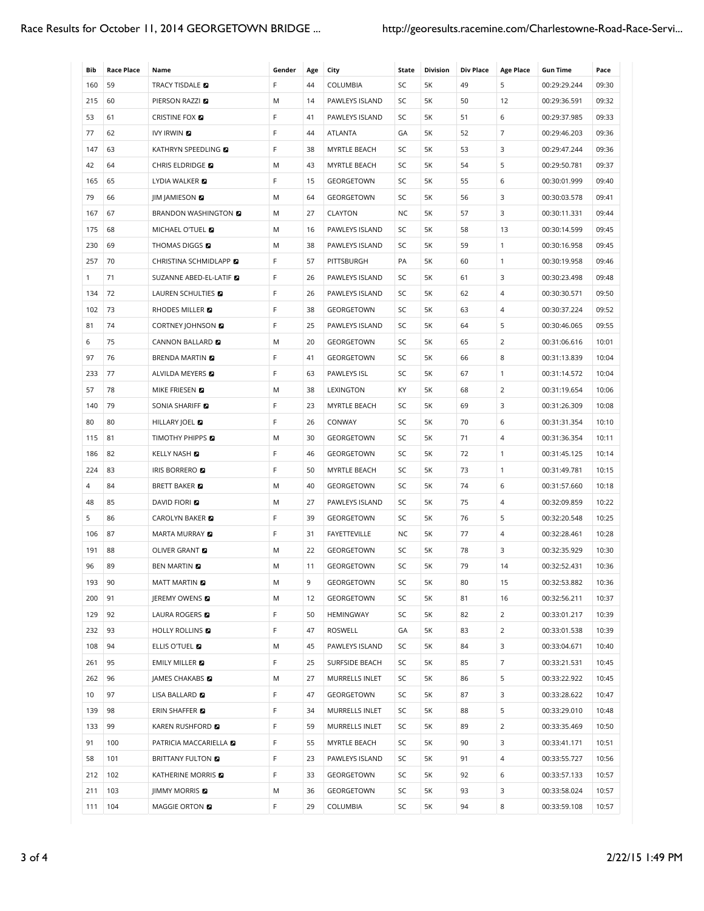| Bib          | <b>Race Place</b> | Name                            | Gender | Age | City              | State     | <b>Division</b> | <b>Div Place</b> | <b>Age Place</b> | <b>Gun Time</b> | Pace  |
|--------------|-------------------|---------------------------------|--------|-----|-------------------|-----------|-----------------|------------------|------------------|-----------------|-------|
| 160          | 59                | TRACY TISDALE <b>D</b>          | F      | 44  | COLUMBIA          | SC        | 5K              | 49               | 5                | 00:29:29.244    | 09:30 |
| 215          | 60                | PIERSON RAZZI E                 | M      | 14  | PAWLEYS ISLAND    | SC        | 5K              | 50               | 12               | 00:29:36.591    | 09:32 |
| 53           | 61                | <b>CRISTINE FOX D</b>           | F      | 41  | PAWLEYS ISLAND    | SC        | 5K              | 51               | 6                | 00:29:37.985    | 09:33 |
| 77           | 62                | <b>IVY IRWIN</b>                | F      | 44  | ATLANTA           | GA        | 5K              | 52               | $\overline{7}$   | 00:29:46.203    | 09:36 |
| 147          | 63                | KATHRYN SPEEDLING               | F      | 38  | MYRTLE BEACH      | SC        | 5K              | 53               | 3                | 00:29:47.244    | 09:36 |
| 42           | 64                | CHRIS ELDRIDGE <b>D</b>         | Μ      | 43  | MYRTLE BEACH      | SC        | 5K              | 54               | 5                | 00:29:50.781    | 09:37 |
| 165          | 65                | LYDIA WALKER <b>D</b>           | F      | 15  | GEORGETOWN        | SC        | 5K              | 55               | 6                | 00:30:01.999    | 09:40 |
| 79           | 66                | <b>IIM JAMIESON &amp;</b>       | M      | 64  | <b>GEORGETOWN</b> | SC        | 5K              | 56               | 3                | 00:30:03.578    | 09:41 |
| 167          | 67                | <b>BRANDON WASHINGTON &amp;</b> | Μ      | 27  | CLAYTON           | <b>NC</b> | 5K              | 57               | 3                | 00:30:11.331    | 09:44 |
| 175          | 68                | MICHAEL O'TUEL <b>E</b>         | M      | 16  | PAWLEYS ISLAND    | SC        | 5K              | 58               | 13               | 00:30:14.599    | 09:45 |
| 230          | 69                | THOMAS DIGGS <b>D</b>           | M      | 38  | PAWLEYS ISLAND    | SC        | 5K              | 59               | $\mathbf{1}$     | 00:30:16.958    | 09:45 |
| 257          | 70                | CHRISTINA SCHMIDLAPP 2          | F      | 57  | PITTSBURGH        | PA        | 5K              | 60               | $\mathbf{1}$     | 00:30:19.958    | 09:46 |
| $\mathbf{1}$ | 71                | SUZANNE ABED-EL-LATIF           | F      | 26  | PAWLEYS ISLAND    | SC        | 5K              | 61               | 3                | 00:30:23.498    | 09:48 |
| 134          | 72                | LAUREN SCHULTIES <b>D</b>       | F      | 26  | PAWLEYS ISLAND    | SC        | 5K              | 62               | 4                | 00:30:30.571    | 09:50 |
| 102          | 73                | RHODES MILLER <b>D</b>          | F      | 38  | GEORGETOWN        | SC        | 5K              | 63               | 4                | 00:30:37.224    | 09:52 |
| 81           | 74                | <b>CORTNEY JOHNSON E</b>        | F      | 25  | PAWLEYS ISLAND    | SC        | 5K              | 64               | 5                | 00:30:46.065    | 09:55 |
| 6            | 75                | CANNON BALLARD <b>D</b>         | Μ      | 20  | GEORGETOWN        | SC        | 5K              | 65               | $\overline{2}$   | 00:31:06.616    | 10:01 |
| 97           | 76                | <b>BRENDA MARTIN</b>            | F      | 41  | GEORGETOWN        | SC        | 5K              | 66               | 8                | 00:31:13.839    | 10:04 |
| 233          | 77                | ALVILDA MEYERS <b>E</b>         | F      | 63  | PAWLEYS ISL       | SC        | 5K              | 67               | $\mathbf{1}$     | 00:31:14.572    | 10:04 |
| 57           | 78                | MIKE FRIESEN <b>D</b>           | Μ      | 38  | LEXINGTON         | KY        | 5K              | 68               | 2                | 00:31:19.654    | 10:06 |
| 140          | 79                | SONIA SHARIFF <b>D</b>          | F      | 23  | MYRTLE BEACH      | SC        | 5K              | 69               | 3                | 00:31:26.309    | 10:08 |
| 80           | 80                | HILLARY JOEL 2                  | F      | 26  | CONWAY            | SC        | 5K              | 70               | 6                | 00:31:31.354    | 10:10 |
| 115          | 81                | TIMOTHY PHIPPS <b>D</b>         | Μ      | 30  | GEORGETOWN        | SC        | 5K              | 71               | 4                | 00:31:36.354    | 10:11 |
| 186          | 82                | KELLY NASH <b>D</b>             | F      | 46  | GEORGETOWN        | SC        | 5K              | 72               | 1                | 00:31:45.125    | 10:14 |
| 224          | 83                | IRIS BORRERO                    | F      | 50  | MYRTLE BEACH      | SC        | 5K              | 73               | $\mathbf{1}$     | 00:31:49.781    | 10:15 |
| 4            | 84                | BRETT BAKER <b>D</b>            | Μ      | 40  | GEORGETOWN        | SC        | 5K              | 74               | 6                | 00:31:57.660    | 10:18 |
| 48           | 85                | <b>DAVID FIORI D</b>            | Μ      | 27  | PAWLEYS ISLAND    | SC        | 5Κ              | 75               | 4                | 00:32:09.859    | 10:22 |
| 5            | 86                | <b>CAROLYN BAKER</b>            | F      | 39  | GEORGETOWN        | SC        | 5K              | 76               | 5                | 00:32:20.548    | 10:25 |
| 106          | 87                | <b>MARTA MURRAY D</b>           | F      | 31  | FAYETTEVILLE      | <b>NC</b> | 5K              | 77               | 4                | 00:32:28.461    | 10:28 |
| 191          | 88                | OLIVER GRANT <b>D</b>           | Μ      | 22  | GEORGETOWN        | SC        | 5Κ              | 78               | 3                | 00:32:35.929    | 10:30 |
| 96           | 89                | <b>BEN MARTIN</b>               | М      | 11  | GEORGETOWN        | SC        | 5K              | 79               | 14               | 00:32:52.431    | 10:36 |
| 193          | 90                | <b>MATT MARTIN</b>              | М      | 9   | GEORGETOWN        | SC        | 5K              | 80               | 15               | 00:32:53.882    | 10:36 |
| 200          | 91                | JEREMY OWENS <b>D</b>           | Μ      | 12  | GEORGETOWN        | SC        | 5K              | 81               | 16               | 00:32:56.211    | 10:37 |
| 129          | 92                | LAURA ROGERS <b>E</b>           | F      | 50  | HEMINGWAY         | SC        | 5K              | 82               | $\overline{2}$   | 00:33:01.217    | 10:39 |
| 232          | 93                | HOLLY ROLLINS <b>D</b>          | F      | 47  | ROSWELL           | GA        | 5K              | 83               | $\overline{2}$   | 00:33:01.538    | 10:39 |
| 108          | 94                | ELLIS O'TUEL <b>D</b>           | Μ      | 45  | PAWLEYS ISLAND    | SC        | 5K              | 84               | 3                | 00:33:04.671    | 10:40 |
| 261          | 95                | <b>EMILY MILLER &amp;</b>       | F      | 25  | SURFSIDE BEACH    | SC        | 5Κ              | 85               | $\overline{7}$   | 00:33:21.531    | 10:45 |
| 262          | 96                | JAMES CHAKABS <b>D</b>          | Μ      | 27  | MURRELLS INLET    | SC        | 5K              | 86               | 5                | 00:33:22.922    | 10:45 |
| 10           | 97                | LISA BALLARD                    | F      | 47  | GEORGETOWN        | SC        | 5K              | 87               | 3                | 00:33:28.622    | 10:47 |
| 139          | 98                | ERIN SHAFFER <b>D</b>           | F      | 34  | MURRELLS INLET    | SC        | 5K              | 88               | 5                | 00:33:29.010    | 10:48 |
| 133          | 99                | KAREN RUSHFORD <b>D</b>         | F      | 59  | MURRELLS INLET    | SC        | 5K              | 89               | $\overline{2}$   | 00:33:35.469    | 10:50 |
| 91           | 100               | PATRICIA MACCARIELLA <b>D</b>   | F      | 55  | MYRTLE BEACH      | SC        | 5K              | 90               | 3                | 00:33:41.171    | 10:51 |
| 58           | 101               | <b>BRITTANY FULTON &amp;</b>    | F      | 23  | PAWLEYS ISLAND    | SC        | 5Κ              | 91               | 4                | 00:33:55.727    | 10:56 |
| 212          | 102               | KATHERINE MORRIS <b>D</b>       | F      | 33  | GEORGETOWN        | SC        | 5K              | 92               | 6                | 00:33:57.133    | 10:57 |
| 211          | 103               | <b>JIMMY MORRIS</b>             | Μ      | 36  | GEORGETOWN        | SC        | 5K              | 93               | 3                | 00:33:58.024    | 10:57 |
| 111          | 104               | MAGGIE ORTON <b>D</b>           | F.     | 29  | COLUMBIA          | SC        | 5K              | 94               | 8                | 00:33:59.108    | 10:57 |